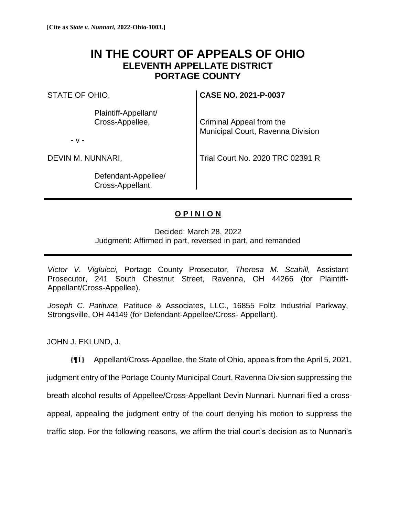# **IN THE COURT OF APPEALS OF OHIO ELEVENTH APPELLATE DISTRICT PORTAGE COUNTY**

STATE OF OHIO,

Plaintiff-Appellant/ Cross-Appellee,

- v -

DEVIN M. NUNNARI,

Defendant-Appellee/ Cross-Appellant.

**CASE NO. 2021-P-0037**

Criminal Appeal from the Municipal Court, Ravenna Division

Trial Court No. 2020 TRC 02391 R

# **O P I N I O N**

Decided: March 28, 2022 Judgment: Affirmed in part, reversed in part, and remanded

*Victor V. Vigluicci,* Portage County Prosecutor, *Theresa M. Scahill,* Assistant Prosecutor, 241 South Chestnut Street, Ravenna, OH 44266 (for Plaintiff-Appellant/Cross-Appellee).

*Joseph C. Patituce,* Patituce & Associates, LLC., 16855 Foltz Industrial Parkway, Strongsville, OH 44149 (for Defendant-Appellee/Cross- Appellant).

JOHN J. EKLUND, J.

**{¶1}** Appellant/Cross-Appellee, the State of Ohio, appeals from the April 5, 2021,

judgment entry of the Portage County Municipal Court, Ravenna Division suppressing the

breath alcohol results of Appellee/Cross-Appellant Devin Nunnari. Nunnari filed a cross-

appeal, appealing the judgment entry of the court denying his motion to suppress the

traffic stop. For the following reasons, we affirm the trial court's decision as to Nunnari's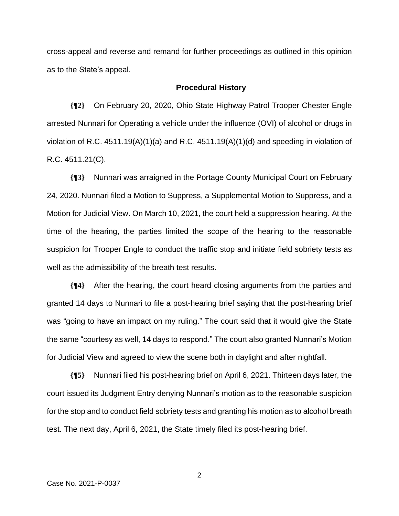cross-appeal and reverse and remand for further proceedings as outlined in this opinion as to the State's appeal.

#### **Procedural History**

**{¶2}** On February 20, 2020, Ohio State Highway Patrol Trooper Chester Engle arrested Nunnari for Operating a vehicle under the influence (OVI) of alcohol or drugs in violation of R.C. 4511.19(A)(1)(a) and R.C. 4511.19(A)(1)(d) and speeding in violation of R.C. 4511.21(C).

**{¶3}** Nunnari was arraigned in the Portage County Municipal Court on February 24, 2020. Nunnari filed a Motion to Suppress, a Supplemental Motion to Suppress, and a Motion for Judicial View. On March 10, 2021, the court held a suppression hearing. At the time of the hearing, the parties limited the scope of the hearing to the reasonable suspicion for Trooper Engle to conduct the traffic stop and initiate field sobriety tests as well as the admissibility of the breath test results.

**{¶4}** After the hearing, the court heard closing arguments from the parties and granted 14 days to Nunnari to file a post-hearing brief saying that the post-hearing brief was "going to have an impact on my ruling." The court said that it would give the State the same "courtesy as well, 14 days to respond." The court also granted Nunnari's Motion for Judicial View and agreed to view the scene both in daylight and after nightfall.

**{¶5}** Nunnari filed his post-hearing brief on April 6, 2021. Thirteen days later, the court issued its Judgment Entry denying Nunnari's motion as to the reasonable suspicion for the stop and to conduct field sobriety tests and granting his motion as to alcohol breath test. The next day, April 6, 2021, the State timely filed its post-hearing brief.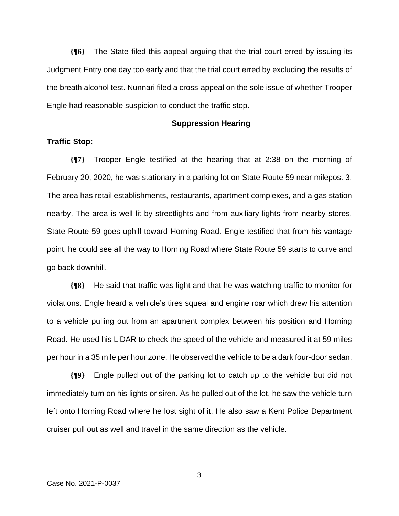**{¶6}** The State filed this appeal arguing that the trial court erred by issuing its Judgment Entry one day too early and that the trial court erred by excluding the results of the breath alcohol test. Nunnari filed a cross-appeal on the sole issue of whether Trooper Engle had reasonable suspicion to conduct the traffic stop.

#### **Suppression Hearing**

#### **Traffic Stop:**

**{¶7}** Trooper Engle testified at the hearing that at 2:38 on the morning of February 20, 2020, he was stationary in a parking lot on State Route 59 near milepost 3. The area has retail establishments, restaurants, apartment complexes, and a gas station nearby. The area is well lit by streetlights and from auxiliary lights from nearby stores. State Route 59 goes uphill toward Horning Road. Engle testified that from his vantage point, he could see all the way to Horning Road where State Route 59 starts to curve and go back downhill.

**{¶8}** He said that traffic was light and that he was watching traffic to monitor for violations. Engle heard a vehicle's tires squeal and engine roar which drew his attention to a vehicle pulling out from an apartment complex between his position and Horning Road. He used his LiDAR to check the speed of the vehicle and measured it at 59 miles per hour in a 35 mile per hour zone. He observed the vehicle to be a dark four-door sedan.

**{¶9}** Engle pulled out of the parking lot to catch up to the vehicle but did not immediately turn on his lights or siren. As he pulled out of the lot, he saw the vehicle turn left onto Horning Road where he lost sight of it. He also saw a Kent Police Department cruiser pull out as well and travel in the same direction as the vehicle.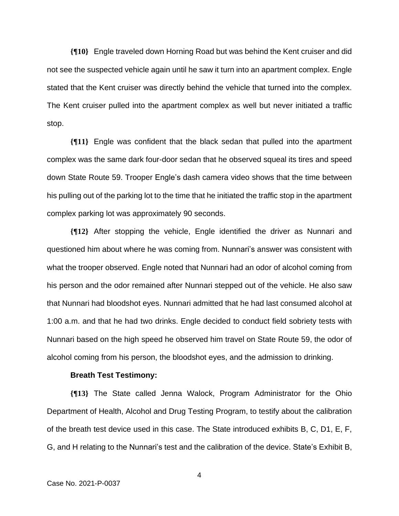**{¶10}** Engle traveled down Horning Road but was behind the Kent cruiser and did not see the suspected vehicle again until he saw it turn into an apartment complex. Engle stated that the Kent cruiser was directly behind the vehicle that turned into the complex. The Kent cruiser pulled into the apartment complex as well but never initiated a traffic stop.

**{¶11}** Engle was confident that the black sedan that pulled into the apartment complex was the same dark four-door sedan that he observed squeal its tires and speed down State Route 59. Trooper Engle's dash camera video shows that the time between his pulling out of the parking lot to the time that he initiated the traffic stop in the apartment complex parking lot was approximately 90 seconds.

**{¶12}** After stopping the vehicle, Engle identified the driver as Nunnari and questioned him about where he was coming from. Nunnari's answer was consistent with what the trooper observed. Engle noted that Nunnari had an odor of alcohol coming from his person and the odor remained after Nunnari stepped out of the vehicle. He also saw that Nunnari had bloodshot eyes. Nunnari admitted that he had last consumed alcohol at 1:00 a.m. and that he had two drinks. Engle decided to conduct field sobriety tests with Nunnari based on the high speed he observed him travel on State Route 59, the odor of alcohol coming from his person, the bloodshot eyes, and the admission to drinking.

#### **Breath Test Testimony:**

**{¶13}** The State called Jenna Walock, Program Administrator for the Ohio Department of Health, Alcohol and Drug Testing Program, to testify about the calibration of the breath test device used in this case. The State introduced exhibits B, C, D1, E, F, G, and H relating to the Nunnari's test and the calibration of the device. State's Exhibit B,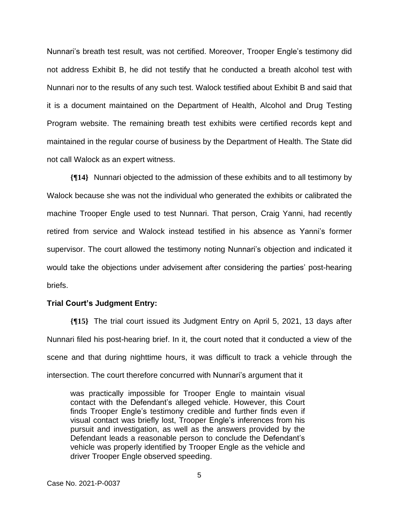Nunnari's breath test result, was not certified. Moreover, Trooper Engle's testimony did not address Exhibit B, he did not testify that he conducted a breath alcohol test with Nunnari nor to the results of any such test. Walock testified about Exhibit B and said that it is a document maintained on the Department of Health, Alcohol and Drug Testing Program website. The remaining breath test exhibits were certified records kept and maintained in the regular course of business by the Department of Health. The State did not call Walock as an expert witness.

**{¶14}** Nunnari objected to the admission of these exhibits and to all testimony by Walock because she was not the individual who generated the exhibits or calibrated the machine Trooper Engle used to test Nunnari. That person, Craig Yanni, had recently retired from service and Walock instead testified in his absence as Yanni's former supervisor. The court allowed the testimony noting Nunnari's objection and indicated it would take the objections under advisement after considering the parties' post-hearing briefs.

#### **Trial Court's Judgment Entry:**

**{¶15}** The trial court issued its Judgment Entry on April 5, 2021, 13 days after Nunnari filed his post-hearing brief. In it, the court noted that it conducted a view of the scene and that during nighttime hours, it was difficult to track a vehicle through the intersection. The court therefore concurred with Nunnari's argument that it

was practically impossible for Trooper Engle to maintain visual contact with the Defendant's alleged vehicle. However, this Court finds Trooper Engle's testimony credible and further finds even if visual contact was briefly lost, Trooper Engle's inferences from his pursuit and investigation, as well as the answers provided by the Defendant leads a reasonable person to conclude the Defendant's vehicle was properly identified by Trooper Engle as the vehicle and driver Trooper Engle observed speeding.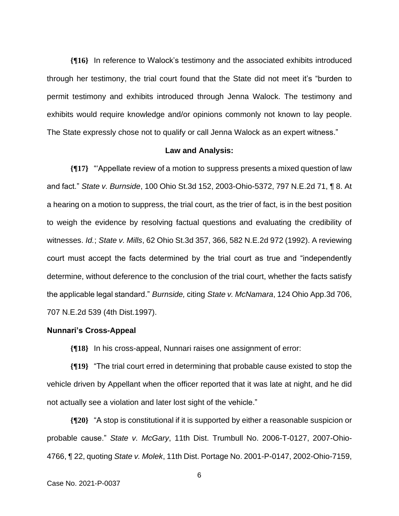**{¶16}** In reference to Walock's testimony and the associated exhibits introduced through her testimony, the trial court found that the State did not meet it's "burden to permit testimony and exhibits introduced through Jenna Walock. The testimony and exhibits would require knowledge and/or opinions commonly not known to lay people. The State expressly chose not to qualify or call Jenna Walock as an expert witness."

## **Law and Analysis:**

**{¶17}** "'Appellate review of a motion to suppress presents a mixed question of law and fact." *State v. Burnside*, 100 Ohio St.3d 152, 2003-Ohio-5372, 797 N.E.2d 71, ¶ 8. At a hearing on a motion to suppress, the trial court, as the trier of fact, is in the best position to weigh the evidence by resolving factual questions and evaluating the credibility of witnesses. *Id.*; *State v. Mills*, 62 Ohio St.3d 357, 366, 582 N.E.2d 972 (1992). A reviewing court must accept the facts determined by the trial court as true and "independently determine, without deference to the conclusion of the trial court, whether the facts satisfy the applicable legal standard." *Burnside,* citing *State v. McNamara*, 124 Ohio App.3d 706, 707 N.E.2d 539 (4th Dist.1997).

## **Nunnari's Cross-Appeal**

**{¶18}** In his cross-appeal, Nunnari raises one assignment of error:

**{¶19}** "The trial court erred in determining that probable cause existed to stop the vehicle driven by Appellant when the officer reported that it was late at night, and he did not actually see a violation and later lost sight of the vehicle."

**{¶20}** "A stop is constitutional if it is supported by either a reasonable suspicion or probable cause." *State v. McGary*, 11th Dist. Trumbull No. 2006-T-0127, 2007-Ohio-4766, ¶ 22, quoting *State v. Molek*, 11th Dist. Portage No. 2001-P-0147, 2002-Ohio-7159,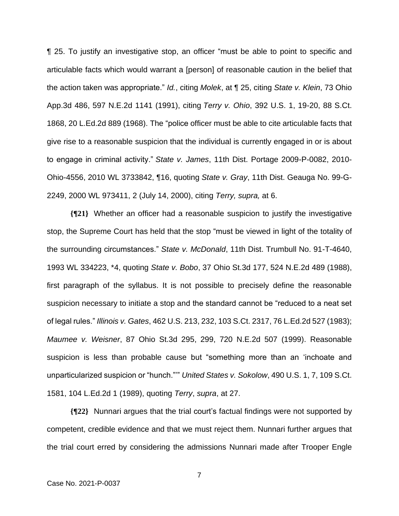¶ 25. To justify an investigative stop, an officer "must be able to point to specific and articulable facts which would warrant a [person] of reasonable caution in the belief that the action taken was appropriate." *Id.*, citing *Molek*, at ¶ 25, citing *State v. Klein*, 73 Ohio App.3d 486, 597 N.E.2d 1141 (1991), citing *Terry v. Ohio*, 392 U.S. 1, 19-20, 88 S.Ct. 1868, 20 L.Ed.2d 889 (1968). The "police officer must be able to cite articulable facts that give rise to a reasonable suspicion that the individual is currently engaged in or is about to engage in criminal activity." *State v. James*, 11th Dist. Portage 2009-P-0082, 2010- Ohio-4556, 2010 WL 3733842, ¶16, quoting *State v. Gray*, 11th Dist. Geauga No. 99-G-2249, 2000 WL 973411, 2 (July 14, 2000), citing *Terry, supra,* at 6.

**{¶21}** Whether an officer had a reasonable suspicion to justify the investigative stop, the Supreme Court has held that the stop "must be viewed in light of the totality of the surrounding circumstances." *State v. McDonald*, 11th Dist. Trumbull No. 91-T-4640, 1993 WL 334223, \*4, quoting *State v. Bobo*, 37 Ohio St.3d 177, 524 N.E.2d 489 (1988), first paragraph of the syllabus. It is not possible to precisely define the reasonable suspicion necessary to initiate a stop and the standard cannot be "reduced to a neat set of legal rules." *Illinois v. Gates*, 462 U.S. 213, 232, 103 S.Ct. 2317, 76 L.Ed.2d 527 (1983); *Maumee v. Weisner*, 87 Ohio St.3d 295, 299, 720 N.E.2d 507 (1999). Reasonable suspicion is less than probable cause but "something more than an 'inchoate and unparticularized suspicion or "hunch."'" *United States v. Sokolow*, 490 U.S. 1, 7, 109 S.Ct. 1581, 104 L.Ed.2d 1 (1989), quoting *Terry*, *supra*, at 27.

**{¶22}** Nunnari argues that the trial court's factual findings were not supported by competent, credible evidence and that we must reject them. Nunnari further argues that the trial court erred by considering the admissions Nunnari made after Trooper Engle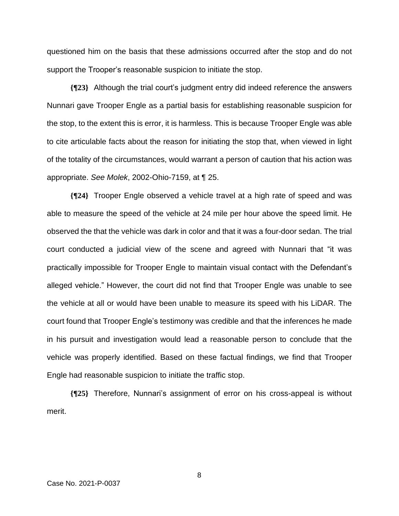questioned him on the basis that these admissions occurred after the stop and do not support the Trooper's reasonable suspicion to initiate the stop.

**{¶23}** Although the trial court's judgment entry did indeed reference the answers Nunnari gave Trooper Engle as a partial basis for establishing reasonable suspicion for the stop, to the extent this is error, it is harmless. This is because Trooper Engle was able to cite articulable facts about the reason for initiating the stop that, when viewed in light of the totality of the circumstances, would warrant a person of caution that his action was appropriate. *See Molek*, 2002-Ohio-7159, at ¶ 25.

**{¶24}** Trooper Engle observed a vehicle travel at a high rate of speed and was able to measure the speed of the vehicle at 24 mile per hour above the speed limit. He observed the that the vehicle was dark in color and that it was a four-door sedan. The trial court conducted a judicial view of the scene and agreed with Nunnari that "it was practically impossible for Trooper Engle to maintain visual contact with the Defendant's alleged vehicle." However, the court did not find that Trooper Engle was unable to see the vehicle at all or would have been unable to measure its speed with his LiDAR. The court found that Trooper Engle's testimony was credible and that the inferences he made in his pursuit and investigation would lead a reasonable person to conclude that the vehicle was properly identified. Based on these factual findings, we find that Trooper Engle had reasonable suspicion to initiate the traffic stop.

**{¶25}** Therefore, Nunnari's assignment of error on his cross-appeal is without merit.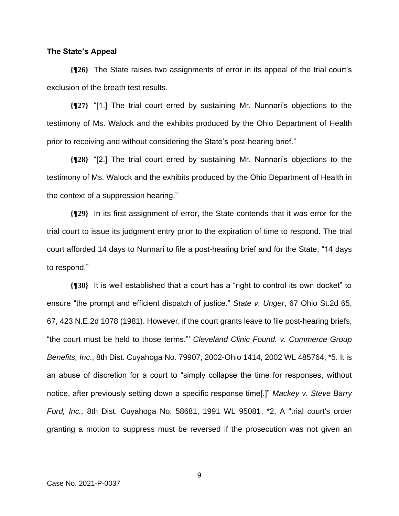#### **The State's Appeal**

**{¶26}** The State raises two assignments of error in its appeal of the trial court's exclusion of the breath test results.

**{¶27}** "[1.] The trial court erred by sustaining Mr. Nunnari's objections to the testimony of Ms. Walock and the exhibits produced by the Ohio Department of Health prior to receiving and without considering the State's post-hearing brief."

**{¶28}** "[2.] The trial court erred by sustaining Mr. Nunnari's objections to the testimony of Ms. Walock and the exhibits produced by the Ohio Department of Health in the context of a suppression hearing."

**{¶29}** In its first assignment of error, the State contends that it was error for the trial court to issue its judgment entry prior to the expiration of time to respond. The trial court afforded 14 days to Nunnari to file a post-hearing brief and for the State, "14 days to respond."

**{¶30}** It is well established that a court has a "right to control its own docket" to ensure "the prompt and efficient dispatch of justice." *State v. Unger*, 67 Ohio St.2d 65, 67, 423 N.E.2d 1078 (1981). However, if the court grants leave to file post-hearing briefs, "the court must be held to those terms."' *Cleveland Clinic Found. v. Commerce Group Benefits, Inc*., 8th Dist. Cuyahoga No. 79907, 2002-Ohio 1414, 2002 WL 485764, \*5. It is an abuse of discretion for a court to "simply collapse the time for responses, without notice, after previously setting down a specific response time[.]" *Mackey v. Steve Barry Ford, Inc.,* 8th Dist. Cuyahoga No. 58681, 1991 WL 95081, \*2. A "trial court's order granting a motion to suppress must be reversed if the prosecution was not given an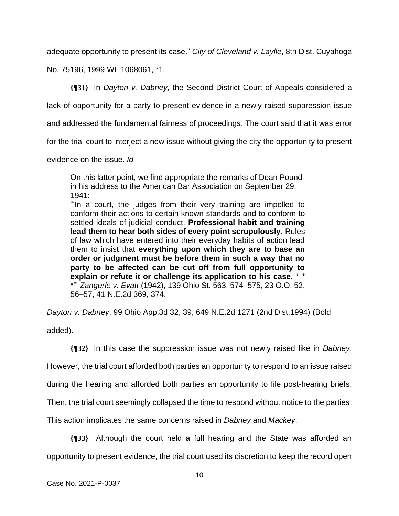adequate opportunity to present its case." *City of Cleveland v. Laylle*, 8th Dist. Cuyahoga

No. 75196, 1999 WL 1068061, \*1.

**{¶31}** In *Dayton v. Dabney*, the Second District Court of Appeals considered a

lack of opportunity for a party to present evidence in a newly raised suppression issue

and addressed the fundamental fairness of proceedings. The court said that it was error

for the trial court to interject a new issue without giving the city the opportunity to present

evidence on the issue. *Id.*

On this latter point, we find appropriate the remarks of Dean Pound in his address to the American Bar Association on September 29, 1941:

"'In a court, the judges from their very training are impelled to conform their actions to certain known standards and to conform to settled ideals of judicial conduct. **Professional habit and training lead them to hear both sides of every point scrupulously.** Rules of law which have entered into their everyday habits of action lead them to insist that **everything upon which they are to base an order or judgment must be before them in such a way that no party to be affected can be cut off from full opportunity to explain or refute it or challenge its application to his case.** \* \* \*'" *Zangerle v. Evatt* (1942), 139 Ohio St. 563, 574–575, 23 O.O. 52, 56–57, 41 N.E.2d 369, 374.

*Dayton v. Dabney*, 99 Ohio App.3d 32, 39, 649 N.E.2d 1271 (2nd Dist.1994) (Bold added).

**{¶32}** In this case the suppression issue was not newly raised like in *Dabney*. However, the trial court afforded both parties an opportunity to respond to an issue raised during the hearing and afforded both parties an opportunity to file post-hearing briefs. Then, the trial court seemingly collapsed the time to respond without notice to the parties.

This action implicates the same concerns raised in *Dabney* and *Mackey*.

**{¶33}** Although the court held a full hearing and the State was afforded an opportunity to present evidence, the trial court used its discretion to keep the record open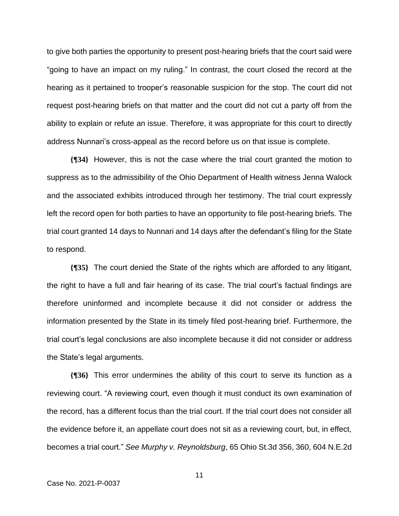to give both parties the opportunity to present post-hearing briefs that the court said were "going to have an impact on my ruling." In contrast, the court closed the record at the hearing as it pertained to trooper's reasonable suspicion for the stop. The court did not request post-hearing briefs on that matter and the court did not cut a party off from the ability to explain or refute an issue. Therefore, it was appropriate for this court to directly address Nunnari's cross-appeal as the record before us on that issue is complete.

**{¶34}** However, this is not the case where the trial court granted the motion to suppress as to the admissibility of the Ohio Department of Health witness Jenna Walock and the associated exhibits introduced through her testimony. The trial court expressly left the record open for both parties to have an opportunity to file post-hearing briefs. The trial court granted 14 days to Nunnari and 14 days after the defendant's filing for the State to respond.

**{¶35}** The court denied the State of the rights which are afforded to any litigant, the right to have a full and fair hearing of its case. The trial court's factual findings are therefore uninformed and incomplete because it did not consider or address the information presented by the State in its timely filed post-hearing brief. Furthermore, the trial court's legal conclusions are also incomplete because it did not consider or address the State's legal arguments.

**{¶36}** This error undermines the ability of this court to serve its function as a reviewing court. "A reviewing court, even though it must conduct its own examination of the record, has a different focus than the trial court. If the trial court does not consider all the evidence before it, an appellate court does not sit as a reviewing court, but, in effect, becomes a trial court." *See Murphy v. Reynoldsburg*, 65 Ohio St.3d 356, 360, 604 N.E.2d